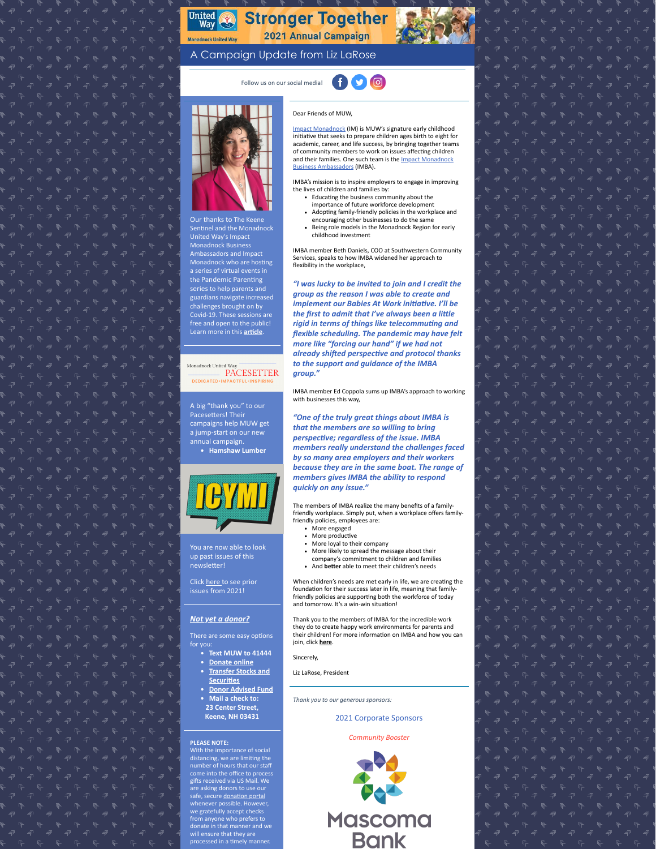# United<br>Way **Stronger Together** 2021 Annual Campaign

## A Campaign Update from Liz LaRose

Follow us on our social media! 000



United Way's Impact Monadnock Business Ambassadors and Impact Monadnock who are hosting the Pandemic Parenting series to help parents and guardians navigate increased challenges brought on by Covid-19. These sessions are Learn more in this **article**.

#### Monadnock United Wa **PACESETTER DEDICATED**-1

### A big "thank you" to our Pacesetters! Their campaigns help MUW get a jump-start on our new annual campaign.

**Hamshaw Lumber**



# up past issues of this newsletter!

Click [here](https://www.muw.org/2021-newsletters) to see prior issues from 2021!

### *[Not yet a donor?](https://app.mobilecause.com/f/2vgz/n?reset=1&%253Bid=1&vid=cdoig)*

There are some easy options for you:

- **Text MUW to 41444**
- **Donate online**
- **[Transfer Stocks and](https://www.muw.org/planned-giving#stocks) Securities**
- **[Donor Advised Fund](https://www.muw.org/planned-giving#DAF)**
- **Mail a check to:**
- **23 Center Street, Keene, NH 03431**

#### **PLEASE NOTE:**

With the importance of social<br>distancing, we are limiting the<br>number of hours that our staff come into the office to process<br>gifts received via US Mail. We are asking donors to use our safe, secure donation portal whenever possible. However we gratefully accept checks from anyone who prefers to donate in that manner and we processed in a timely manner

### Dear Friends of MUW,

[Impact Monadnock](https://www.muw.org/impact) (IM) is MUW's signature early childhood initiative that seeks to prepare children ages birth to eight for academic, career, and life success, by bringing together teams of community members to work on issues affecting children [and their families. One such team is the Impact Monadnock](https://www.muw.org/impact/businessambassadors) Business Ambassadors (IMBA).

IMBA's mission is to inspire employers to engage in improving the lives of children and families by:

- Educating the business community about the importance of future workforce development
- Adopting family-friendly policies in the workplace and
- encouraging other businesses to do the same Being role models in the Monadnock Region for early childhood investment

IMBA member Beth Daniels, COO at Southwestern Community Services, speaks to how IMBA widened her approach to flexibility in the workplace,

*"I was lucky to be invited to join and I credit the group as the reason I was able to create and implement our Babies At Work initiative. I'll be* the first to admit that I've always been a little  $right in terms of things like telecommuting and$ *flexible scheduling. The pandemic may have felt more like "forcing our hand" if we had not*  $a$ *lready shifted perspective and protocol thanks to the support and guidance of the IMBA group."*

IMBA member Ed Coppola sums up IMBA's approach to working with businesses this way.

*"One of the truly great things about IMBA is that the members are so willing to bring perspective; regardless of the issue. IMBA members really understand the challenges faced by so many area employers and their workers because they are in the same boat. The range of members gives IMBA the ability to respond quickly on any issue."*

The members of IMBA realize the many benefits of a familyfriendly workplace. Simply put, when a workplace offers familyfriendly policies, employees are:

- More engaged • More productive
- More loyal to their company
- More likely to spread the message about their company's commitment to children and families
- And **better** able to meet their children's needs

When children's needs are met early in life, we are creating the foundation for their success later in life, meaning that familyfriendly policies are supporting both the workforce of today and tomorrow. It's a win-win situation!

Thank you to the members of IMBA for the incredible work they do to create happy work environments for parents and<br>their children! For more information on IMBA and how you can join, click **[here](https://www.muw.org/impact/businessambassadors)**.

Sincerely,

Liz LaRose, President

*Thank you to our generous sponsors:*

2021 Corporate Sponsors

*Community Booster*